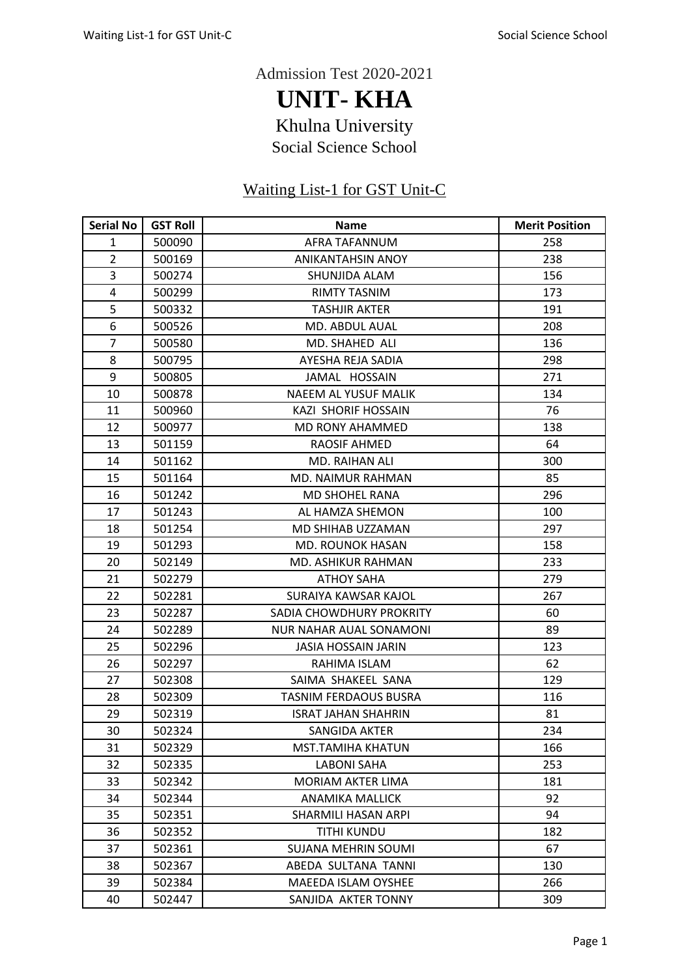Admission Test 2020-2021

**UNIT- KHA** Khulna University Social Science School

## Waiting List-1 for GST Unit-C

| <b>Serial No</b> | <b>GST Roll</b> | <b>Name</b>                    | <b>Merit Position</b> |
|------------------|-----------------|--------------------------------|-----------------------|
| $\mathbf{1}$     | 500090          | AFRA TAFANNUM                  | 258                   |
| $\overline{2}$   | 500169          | <b>ANIKANTAHSIN ANOY</b>       | 238                   |
| 3                | 500274          | SHUNJIDA ALAM                  | 156                   |
| 4                | 500299          | RIMTY TASNIM                   | 173                   |
| 5                | 500332          | <b>TASHJIR AKTER</b>           | 191                   |
| 6                | 500526          | MD. ABDUL AUAL                 | 208                   |
| $\overline{7}$   | 500580          | MD. SHAHED ALI                 | 136                   |
| 8                | 500795          | AYESHA REJA SADIA              | 298                   |
| 9                | 500805          | JAMAL HOSSAIN                  | 271                   |
| 10               | 500878          | <b>NAEEM AL YUSUF MALIK</b>    | 134                   |
| 11               | 500960          | KAZI SHORIF HOSSAIN            | 76                    |
| 12               | 500977          | MD RONY AHAMMED                | 138                   |
| 13               | 501159          | <b>RAOSIF AHMED</b>            | 64                    |
| 14               | 501162          | MD. RAIHAN ALI                 | 300                   |
| 15               | 501164          | MD. NAIMUR RAHMAN              | 85                    |
| 16               | 501242          | <b>MD SHOHEL RANA</b>          | 296                   |
| 17               | 501243          | AL HAMZA SHEMON                | 100                   |
| 18               | 501254          | MD SHIHAB UZZAMAN              | 297                   |
| 19               | 501293          | <b>MD. ROUNOK HASAN</b>        | 158                   |
| 20               | 502149          | MD. ASHIKUR RAHMAN             | 233                   |
| 21               | 502279          | <b>ATHOY SAHA</b>              | 279                   |
| 22               | 502281          | SURAIYA KAWSAR KAJOL           | 267                   |
| 23               | 502287          | SADIA CHOWDHURY PROKRITY       | 60                    |
| 24               | 502289          | <b>NUR NAHAR AUAL SONAMONI</b> | 89                    |
| 25               | 502296          | <b>JASIA HOSSAIN JARIN</b>     | 123                   |
| 26               | 502297          | RAHIMA ISLAM                   | 62                    |
| 27               | 502308          | SAIMA SHAKEEL SANA             | 129                   |
| 28               | 502309          | TASNIM FERDAOUS BUSRA          | 116                   |
| 29               | 502319          | <b>ISRAT JAHAN SHAHRIN</b>     | 81                    |
| 30               | 502324          | SANGIDA AKTER                  | 234                   |
| 31               | 502329          | <b>MST.TAMIHA KHATUN</b>       | 166                   |
| 32               | 502335          | <b>LABONI SAHA</b>             | 253                   |
| 33               | 502342          | MORIAM AKTER LIMA              | 181                   |
| 34               | 502344          | <b>ANAMIKA MALLICK</b>         | 92                    |
| 35               | 502351          | SHARMILI HASAN ARPI            | 94                    |
| 36               | 502352          | TITHI KUNDU                    | 182                   |
| 37               | 502361          | SUJANA MEHRIN SOUMI            | 67                    |
| 38               | 502367          | ABEDA SULTANA TANNI            | 130                   |
| 39               | 502384          | MAEEDA ISLAM OYSHEE            | 266                   |
| 40               | 502447          | SANJIDA AKTER TONNY            | 309                   |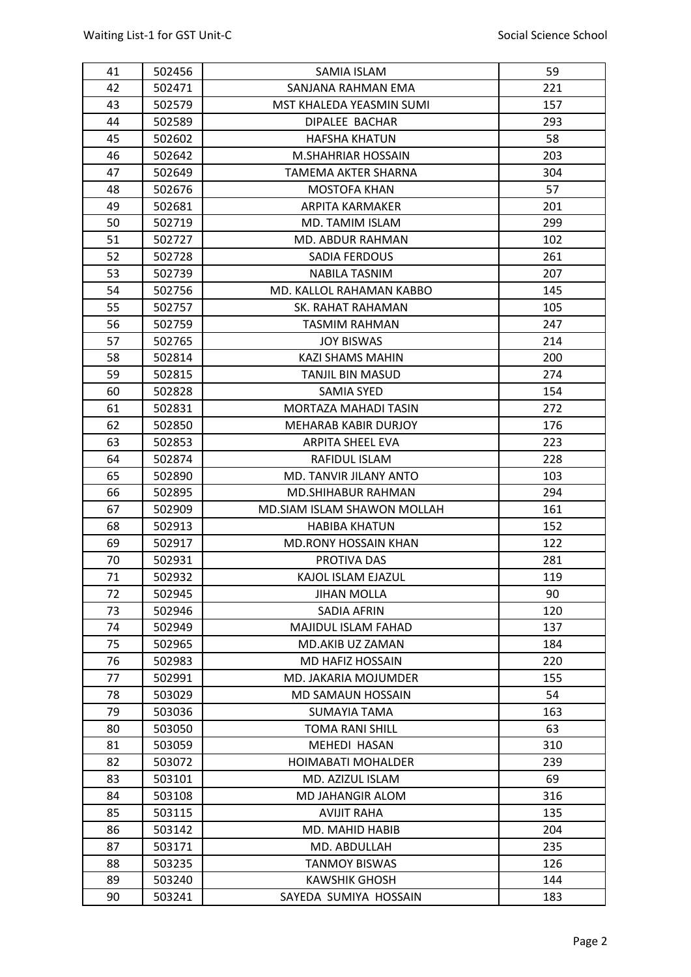| 41 | 502456 | SAMIA ISLAM                 | 59  |
|----|--------|-----------------------------|-----|
| 42 | 502471 | SANJANA RAHMAN EMA          | 221 |
| 43 | 502579 | MST KHALEDA YEASMIN SUMI    | 157 |
| 44 | 502589 | DIPALEE BACHAR              | 293 |
| 45 | 502602 | <b>HAFSHA KHATUN</b>        | 58  |
| 46 | 502642 | M.SHAHRIAR HOSSAIN          | 203 |
| 47 | 502649 | TAMEMA AKTER SHARNA         | 304 |
| 48 | 502676 | <b>MOSTOFA KHAN</b>         | 57  |
| 49 | 502681 | <b>ARPITA KARMAKER</b>      | 201 |
| 50 | 502719 | MD. TAMIM ISLAM             | 299 |
| 51 | 502727 | MD. ABDUR RAHMAN            | 102 |
| 52 | 502728 | <b>SADIA FERDOUS</b>        | 261 |
| 53 | 502739 | <b>NABILA TASNIM</b>        | 207 |
| 54 | 502756 | MD. KALLOL RAHAMAN KABBO    | 145 |
| 55 | 502757 | SK. RAHAT RAHAMAN           | 105 |
| 56 | 502759 | <b>TASMIM RAHMAN</b>        | 247 |
| 57 | 502765 | <b>JOY BISWAS</b>           | 214 |
| 58 | 502814 | <b>KAZI SHAMS MAHIN</b>     | 200 |
| 59 | 502815 | <b>TANJIL BIN MASUD</b>     | 274 |
| 60 | 502828 | <b>SAMIA SYED</b>           | 154 |
| 61 | 502831 | MORTAZA MAHADI TASIN        | 272 |
| 62 | 502850 | <b>MEHARAB KABIR DURJOY</b> | 176 |
| 63 | 502853 | <b>ARPITA SHEEL EVA</b>     | 223 |
| 64 | 502874 | RAFIDUL ISLAM               | 228 |
| 65 | 502890 | MD. TANVIR JILANY ANTO      | 103 |
| 66 | 502895 | <b>MD.SHIHABUR RAHMAN</b>   | 294 |
| 67 | 502909 | MD.SIAM ISLAM SHAWON MOLLAH | 161 |
| 68 | 502913 | <b>HABIBA KHATUN</b>        | 152 |
| 69 | 502917 | MD.RONY HOSSAIN KHAN        | 122 |
| 70 | 502931 | PROTIVA DAS                 | 281 |
| 71 | 502932 | KAJOL ISLAM EJAZUL          | 119 |
| 72 | 502945 | <b>JIHAN MOLLA</b>          | 90  |
| 73 | 502946 | SADIA AFRIN                 | 120 |
| 74 | 502949 | MAJIDUL ISLAM FAHAD         | 137 |
| 75 | 502965 | MD.AKIB UZ ZAMAN            | 184 |
| 76 | 502983 | <b>MD HAFIZ HOSSAIN</b>     | 220 |
| 77 | 502991 | MD. JAKARIA MOJUMDER        | 155 |
| 78 | 503029 | MD SAMAUN HOSSAIN           | 54  |
| 79 | 503036 | SUMAYIA TAMA                | 163 |
| 80 | 503050 | <b>TOMA RANI SHILL</b>      | 63  |
| 81 | 503059 | MEHEDI HASAN                | 310 |
| 82 | 503072 | <b>HOIMABATI MOHALDER</b>   | 239 |
| 83 | 503101 | MD. AZIZUL ISLAM            | 69  |
| 84 | 503108 | MD JAHANGIR ALOM            | 316 |
| 85 | 503115 | <b>AVIJIT RAHA</b>          | 135 |
| 86 | 503142 |                             | 204 |
|    |        | MD. MAHID HABIB             |     |
| 87 | 503171 | MD. ABDULLAH                | 235 |
| 88 | 503235 | <b>TANMOY BISWAS</b>        | 126 |
| 89 | 503240 | <b>KAWSHIK GHOSH</b>        | 144 |
| 90 | 503241 | SAYEDA SUMIYA HOSSAIN       | 183 |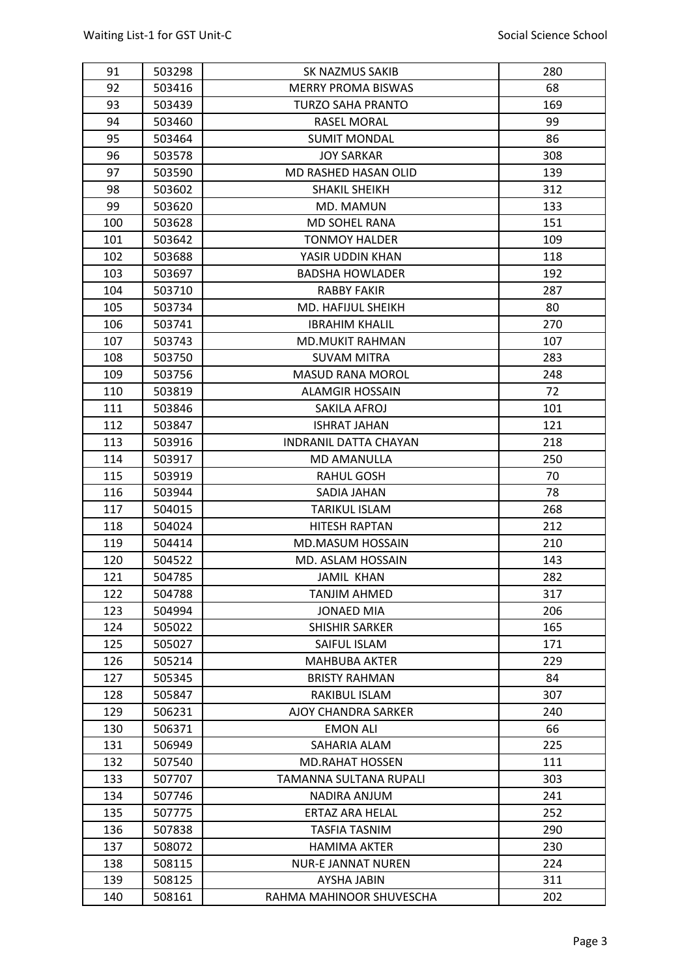| 68<br>92<br>503416<br><b>MERRY PROMA BISWAS</b><br>93<br><b>TURZO SAHA PRANTO</b><br>169<br>503439<br>94<br>503460<br><b>RASEL MORAL</b><br>99<br>86<br>95<br>503464<br><b>SUMIT MONDAL</b><br>96<br>308<br>503578<br><b>JOY SARKAR</b><br>97<br>MD RASHED HASAN OLID<br>139<br>503590<br>98<br>SHAKIL SHEIKH<br>312<br>503602<br>99<br>133<br>503620<br>MD. MAMUN<br>100<br>151<br>503628<br>MD SOHEL RANA<br>101<br>503642<br><b>TONMOY HALDER</b><br>109<br>102<br>503688<br>YASIR UDDIN KHAN<br>118<br>103<br><b>BADSHA HOWLADER</b><br>503697<br>192<br>104<br>503710<br>287<br><b>RABBY FAKIR</b><br>105<br>80<br>503734<br>MD. HAFIJUL SHEIKH<br>270<br>106<br>503741<br><b>IBRAHIM KHALIL</b><br>107<br>107<br>503743<br><b>MD.MUKIT RAHMAN</b><br>503750<br>283<br>108<br><b>SUVAM MITRA</b><br>109<br>503756<br><b>MASUD RANA MOROL</b><br>248<br>72<br>110<br><b>ALAMGIR HOSSAIN</b><br>503819<br>101<br>111<br>503846<br>SAKILA AFROJ<br>112<br>121<br>503847<br><b>ISHRAT JAHAN</b><br>218<br>113<br>503916<br><b>INDRANIL DATTA CHAYAN</b><br>114<br>250<br>503917<br><b>MD AMANULLA</b><br>115<br>70<br>503919<br>RAHUL GOSH<br>78<br>116<br>SADIA JAHAN<br>503944<br>117<br>504015<br><b>TARIKUL ISLAM</b><br>268<br>212<br>118<br>504024<br><b>HITESH RAPTAN</b><br>119<br>210<br>504414<br><b>MD.MASUM HOSSAIN</b><br>120<br>504522<br><b>MD. ASLAM HOSSAIN</b><br>143<br>121<br>504785<br>282<br>JAMIL KHAN<br>122<br>504788<br><b>TANJIM AHMED</b><br>317<br>123<br>206<br><b>JONAED MIA</b><br>504994<br>124<br>165<br>505022<br><b>SHISHIR SARKER</b><br>125<br>505027<br>SAIFUL ISLAM<br>171<br>126<br>229<br>505214<br><b>MAHBUBA AKTER</b><br>127<br>505345<br>84<br><b>BRISTY RAHMAN</b><br>128<br>307<br>505847<br>RAKIBUL ISLAM<br>129<br>506231<br>AJOY CHANDRA SARKER<br>240<br>506371<br>66<br>130<br><b>EMON ALI</b><br>131<br>225<br>506949<br>SAHARIA ALAM<br>111<br>132<br>507540<br><b>MD.RAHAT HOSSEN</b><br>TAMANNA SULTANA RUPALI<br>303<br>133<br>507707 | 91 | 503298 | SK NAZMUS SAKIB | 280 |
|--------------------------------------------------------------------------------------------------------------------------------------------------------------------------------------------------------------------------------------------------------------------------------------------------------------------------------------------------------------------------------------------------------------------------------------------------------------------------------------------------------------------------------------------------------------------------------------------------------------------------------------------------------------------------------------------------------------------------------------------------------------------------------------------------------------------------------------------------------------------------------------------------------------------------------------------------------------------------------------------------------------------------------------------------------------------------------------------------------------------------------------------------------------------------------------------------------------------------------------------------------------------------------------------------------------------------------------------------------------------------------------------------------------------------------------------------------------------------------------------------------------------------------------------------------------------------------------------------------------------------------------------------------------------------------------------------------------------------------------------------------------------------------------------------------------------------------------------------------------------------------------------------------------------------------------------------------------------------------------------------|----|--------|-----------------|-----|
|                                                                                                                                                                                                                                                                                                                                                                                                                                                                                                                                                                                                                                                                                                                                                                                                                                                                                                                                                                                                                                                                                                                                                                                                                                                                                                                                                                                                                                                                                                                                                                                                                                                                                                                                                                                                                                                                                                                                                                                                  |    |        |                 |     |
|                                                                                                                                                                                                                                                                                                                                                                                                                                                                                                                                                                                                                                                                                                                                                                                                                                                                                                                                                                                                                                                                                                                                                                                                                                                                                                                                                                                                                                                                                                                                                                                                                                                                                                                                                                                                                                                                                                                                                                                                  |    |        |                 |     |
|                                                                                                                                                                                                                                                                                                                                                                                                                                                                                                                                                                                                                                                                                                                                                                                                                                                                                                                                                                                                                                                                                                                                                                                                                                                                                                                                                                                                                                                                                                                                                                                                                                                                                                                                                                                                                                                                                                                                                                                                  |    |        |                 |     |
|                                                                                                                                                                                                                                                                                                                                                                                                                                                                                                                                                                                                                                                                                                                                                                                                                                                                                                                                                                                                                                                                                                                                                                                                                                                                                                                                                                                                                                                                                                                                                                                                                                                                                                                                                                                                                                                                                                                                                                                                  |    |        |                 |     |
|                                                                                                                                                                                                                                                                                                                                                                                                                                                                                                                                                                                                                                                                                                                                                                                                                                                                                                                                                                                                                                                                                                                                                                                                                                                                                                                                                                                                                                                                                                                                                                                                                                                                                                                                                                                                                                                                                                                                                                                                  |    |        |                 |     |
|                                                                                                                                                                                                                                                                                                                                                                                                                                                                                                                                                                                                                                                                                                                                                                                                                                                                                                                                                                                                                                                                                                                                                                                                                                                                                                                                                                                                                                                                                                                                                                                                                                                                                                                                                                                                                                                                                                                                                                                                  |    |        |                 |     |
|                                                                                                                                                                                                                                                                                                                                                                                                                                                                                                                                                                                                                                                                                                                                                                                                                                                                                                                                                                                                                                                                                                                                                                                                                                                                                                                                                                                                                                                                                                                                                                                                                                                                                                                                                                                                                                                                                                                                                                                                  |    |        |                 |     |
|                                                                                                                                                                                                                                                                                                                                                                                                                                                                                                                                                                                                                                                                                                                                                                                                                                                                                                                                                                                                                                                                                                                                                                                                                                                                                                                                                                                                                                                                                                                                                                                                                                                                                                                                                                                                                                                                                                                                                                                                  |    |        |                 |     |
|                                                                                                                                                                                                                                                                                                                                                                                                                                                                                                                                                                                                                                                                                                                                                                                                                                                                                                                                                                                                                                                                                                                                                                                                                                                                                                                                                                                                                                                                                                                                                                                                                                                                                                                                                                                                                                                                                                                                                                                                  |    |        |                 |     |
|                                                                                                                                                                                                                                                                                                                                                                                                                                                                                                                                                                                                                                                                                                                                                                                                                                                                                                                                                                                                                                                                                                                                                                                                                                                                                                                                                                                                                                                                                                                                                                                                                                                                                                                                                                                                                                                                                                                                                                                                  |    |        |                 |     |
|                                                                                                                                                                                                                                                                                                                                                                                                                                                                                                                                                                                                                                                                                                                                                                                                                                                                                                                                                                                                                                                                                                                                                                                                                                                                                                                                                                                                                                                                                                                                                                                                                                                                                                                                                                                                                                                                                                                                                                                                  |    |        |                 |     |
|                                                                                                                                                                                                                                                                                                                                                                                                                                                                                                                                                                                                                                                                                                                                                                                                                                                                                                                                                                                                                                                                                                                                                                                                                                                                                                                                                                                                                                                                                                                                                                                                                                                                                                                                                                                                                                                                                                                                                                                                  |    |        |                 |     |
|                                                                                                                                                                                                                                                                                                                                                                                                                                                                                                                                                                                                                                                                                                                                                                                                                                                                                                                                                                                                                                                                                                                                                                                                                                                                                                                                                                                                                                                                                                                                                                                                                                                                                                                                                                                                                                                                                                                                                                                                  |    |        |                 |     |
|                                                                                                                                                                                                                                                                                                                                                                                                                                                                                                                                                                                                                                                                                                                                                                                                                                                                                                                                                                                                                                                                                                                                                                                                                                                                                                                                                                                                                                                                                                                                                                                                                                                                                                                                                                                                                                                                                                                                                                                                  |    |        |                 |     |
|                                                                                                                                                                                                                                                                                                                                                                                                                                                                                                                                                                                                                                                                                                                                                                                                                                                                                                                                                                                                                                                                                                                                                                                                                                                                                                                                                                                                                                                                                                                                                                                                                                                                                                                                                                                                                                                                                                                                                                                                  |    |        |                 |     |
|                                                                                                                                                                                                                                                                                                                                                                                                                                                                                                                                                                                                                                                                                                                                                                                                                                                                                                                                                                                                                                                                                                                                                                                                                                                                                                                                                                                                                                                                                                                                                                                                                                                                                                                                                                                                                                                                                                                                                                                                  |    |        |                 |     |
|                                                                                                                                                                                                                                                                                                                                                                                                                                                                                                                                                                                                                                                                                                                                                                                                                                                                                                                                                                                                                                                                                                                                                                                                                                                                                                                                                                                                                                                                                                                                                                                                                                                                                                                                                                                                                                                                                                                                                                                                  |    |        |                 |     |
|                                                                                                                                                                                                                                                                                                                                                                                                                                                                                                                                                                                                                                                                                                                                                                                                                                                                                                                                                                                                                                                                                                                                                                                                                                                                                                                                                                                                                                                                                                                                                                                                                                                                                                                                                                                                                                                                                                                                                                                                  |    |        |                 |     |
|                                                                                                                                                                                                                                                                                                                                                                                                                                                                                                                                                                                                                                                                                                                                                                                                                                                                                                                                                                                                                                                                                                                                                                                                                                                                                                                                                                                                                                                                                                                                                                                                                                                                                                                                                                                                                                                                                                                                                                                                  |    |        |                 |     |
|                                                                                                                                                                                                                                                                                                                                                                                                                                                                                                                                                                                                                                                                                                                                                                                                                                                                                                                                                                                                                                                                                                                                                                                                                                                                                                                                                                                                                                                                                                                                                                                                                                                                                                                                                                                                                                                                                                                                                                                                  |    |        |                 |     |
|                                                                                                                                                                                                                                                                                                                                                                                                                                                                                                                                                                                                                                                                                                                                                                                                                                                                                                                                                                                                                                                                                                                                                                                                                                                                                                                                                                                                                                                                                                                                                                                                                                                                                                                                                                                                                                                                                                                                                                                                  |    |        |                 |     |
|                                                                                                                                                                                                                                                                                                                                                                                                                                                                                                                                                                                                                                                                                                                                                                                                                                                                                                                                                                                                                                                                                                                                                                                                                                                                                                                                                                                                                                                                                                                                                                                                                                                                                                                                                                                                                                                                                                                                                                                                  |    |        |                 |     |
|                                                                                                                                                                                                                                                                                                                                                                                                                                                                                                                                                                                                                                                                                                                                                                                                                                                                                                                                                                                                                                                                                                                                                                                                                                                                                                                                                                                                                                                                                                                                                                                                                                                                                                                                                                                                                                                                                                                                                                                                  |    |        |                 |     |
|                                                                                                                                                                                                                                                                                                                                                                                                                                                                                                                                                                                                                                                                                                                                                                                                                                                                                                                                                                                                                                                                                                                                                                                                                                                                                                                                                                                                                                                                                                                                                                                                                                                                                                                                                                                                                                                                                                                                                                                                  |    |        |                 |     |
|                                                                                                                                                                                                                                                                                                                                                                                                                                                                                                                                                                                                                                                                                                                                                                                                                                                                                                                                                                                                                                                                                                                                                                                                                                                                                                                                                                                                                                                                                                                                                                                                                                                                                                                                                                                                                                                                                                                                                                                                  |    |        |                 |     |
|                                                                                                                                                                                                                                                                                                                                                                                                                                                                                                                                                                                                                                                                                                                                                                                                                                                                                                                                                                                                                                                                                                                                                                                                                                                                                                                                                                                                                                                                                                                                                                                                                                                                                                                                                                                                                                                                                                                                                                                                  |    |        |                 |     |
|                                                                                                                                                                                                                                                                                                                                                                                                                                                                                                                                                                                                                                                                                                                                                                                                                                                                                                                                                                                                                                                                                                                                                                                                                                                                                                                                                                                                                                                                                                                                                                                                                                                                                                                                                                                                                                                                                                                                                                                                  |    |        |                 |     |
|                                                                                                                                                                                                                                                                                                                                                                                                                                                                                                                                                                                                                                                                                                                                                                                                                                                                                                                                                                                                                                                                                                                                                                                                                                                                                                                                                                                                                                                                                                                                                                                                                                                                                                                                                                                                                                                                                                                                                                                                  |    |        |                 |     |
|                                                                                                                                                                                                                                                                                                                                                                                                                                                                                                                                                                                                                                                                                                                                                                                                                                                                                                                                                                                                                                                                                                                                                                                                                                                                                                                                                                                                                                                                                                                                                                                                                                                                                                                                                                                                                                                                                                                                                                                                  |    |        |                 |     |
|                                                                                                                                                                                                                                                                                                                                                                                                                                                                                                                                                                                                                                                                                                                                                                                                                                                                                                                                                                                                                                                                                                                                                                                                                                                                                                                                                                                                                                                                                                                                                                                                                                                                                                                                                                                                                                                                                                                                                                                                  |    |        |                 |     |
|                                                                                                                                                                                                                                                                                                                                                                                                                                                                                                                                                                                                                                                                                                                                                                                                                                                                                                                                                                                                                                                                                                                                                                                                                                                                                                                                                                                                                                                                                                                                                                                                                                                                                                                                                                                                                                                                                                                                                                                                  |    |        |                 |     |
|                                                                                                                                                                                                                                                                                                                                                                                                                                                                                                                                                                                                                                                                                                                                                                                                                                                                                                                                                                                                                                                                                                                                                                                                                                                                                                                                                                                                                                                                                                                                                                                                                                                                                                                                                                                                                                                                                                                                                                                                  |    |        |                 |     |
|                                                                                                                                                                                                                                                                                                                                                                                                                                                                                                                                                                                                                                                                                                                                                                                                                                                                                                                                                                                                                                                                                                                                                                                                                                                                                                                                                                                                                                                                                                                                                                                                                                                                                                                                                                                                                                                                                                                                                                                                  |    |        |                 |     |
|                                                                                                                                                                                                                                                                                                                                                                                                                                                                                                                                                                                                                                                                                                                                                                                                                                                                                                                                                                                                                                                                                                                                                                                                                                                                                                                                                                                                                                                                                                                                                                                                                                                                                                                                                                                                                                                                                                                                                                                                  |    |        |                 |     |
|                                                                                                                                                                                                                                                                                                                                                                                                                                                                                                                                                                                                                                                                                                                                                                                                                                                                                                                                                                                                                                                                                                                                                                                                                                                                                                                                                                                                                                                                                                                                                                                                                                                                                                                                                                                                                                                                                                                                                                                                  |    |        |                 |     |
|                                                                                                                                                                                                                                                                                                                                                                                                                                                                                                                                                                                                                                                                                                                                                                                                                                                                                                                                                                                                                                                                                                                                                                                                                                                                                                                                                                                                                                                                                                                                                                                                                                                                                                                                                                                                                                                                                                                                                                                                  |    |        |                 |     |
|                                                                                                                                                                                                                                                                                                                                                                                                                                                                                                                                                                                                                                                                                                                                                                                                                                                                                                                                                                                                                                                                                                                                                                                                                                                                                                                                                                                                                                                                                                                                                                                                                                                                                                                                                                                                                                                                                                                                                                                                  |    |        |                 |     |
|                                                                                                                                                                                                                                                                                                                                                                                                                                                                                                                                                                                                                                                                                                                                                                                                                                                                                                                                                                                                                                                                                                                                                                                                                                                                                                                                                                                                                                                                                                                                                                                                                                                                                                                                                                                                                                                                                                                                                                                                  |    |        |                 |     |
|                                                                                                                                                                                                                                                                                                                                                                                                                                                                                                                                                                                                                                                                                                                                                                                                                                                                                                                                                                                                                                                                                                                                                                                                                                                                                                                                                                                                                                                                                                                                                                                                                                                                                                                                                                                                                                                                                                                                                                                                  |    |        |                 |     |
|                                                                                                                                                                                                                                                                                                                                                                                                                                                                                                                                                                                                                                                                                                                                                                                                                                                                                                                                                                                                                                                                                                                                                                                                                                                                                                                                                                                                                                                                                                                                                                                                                                                                                                                                                                                                                                                                                                                                                                                                  |    |        |                 |     |
|                                                                                                                                                                                                                                                                                                                                                                                                                                                                                                                                                                                                                                                                                                                                                                                                                                                                                                                                                                                                                                                                                                                                                                                                                                                                                                                                                                                                                                                                                                                                                                                                                                                                                                                                                                                                                                                                                                                                                                                                  |    |        |                 |     |
|                                                                                                                                                                                                                                                                                                                                                                                                                                                                                                                                                                                                                                                                                                                                                                                                                                                                                                                                                                                                                                                                                                                                                                                                                                                                                                                                                                                                                                                                                                                                                                                                                                                                                                                                                                                                                                                                                                                                                                                                  |    |        |                 |     |
| 134<br>507746<br>241<br>NADIRA ANJUM                                                                                                                                                                                                                                                                                                                                                                                                                                                                                                                                                                                                                                                                                                                                                                                                                                                                                                                                                                                                                                                                                                                                                                                                                                                                                                                                                                                                                                                                                                                                                                                                                                                                                                                                                                                                                                                                                                                                                             |    |        |                 |     |
| 252<br>135<br>ERTAZ ARA HELAL<br>507775                                                                                                                                                                                                                                                                                                                                                                                                                                                                                                                                                                                                                                                                                                                                                                                                                                                                                                                                                                                                                                                                                                                                                                                                                                                                                                                                                                                                                                                                                                                                                                                                                                                                                                                                                                                                                                                                                                                                                          |    |        |                 |     |
| 136<br>290<br>507838<br>TASFIA TASNIM                                                                                                                                                                                                                                                                                                                                                                                                                                                                                                                                                                                                                                                                                                                                                                                                                                                                                                                                                                                                                                                                                                                                                                                                                                                                                                                                                                                                                                                                                                                                                                                                                                                                                                                                                                                                                                                                                                                                                            |    |        |                 |     |
| 137<br>508072<br><b>HAMIMA AKTER</b><br>230                                                                                                                                                                                                                                                                                                                                                                                                                                                                                                                                                                                                                                                                                                                                                                                                                                                                                                                                                                                                                                                                                                                                                                                                                                                                                                                                                                                                                                                                                                                                                                                                                                                                                                                                                                                                                                                                                                                                                      |    |        |                 |     |
| 224<br>138<br>508115<br><b>NUR-E JANNAT NUREN</b>                                                                                                                                                                                                                                                                                                                                                                                                                                                                                                                                                                                                                                                                                                                                                                                                                                                                                                                                                                                                                                                                                                                                                                                                                                                                                                                                                                                                                                                                                                                                                                                                                                                                                                                                                                                                                                                                                                                                                |    |        |                 |     |
| 139<br>508125<br>311<br>AYSHA JABIN                                                                                                                                                                                                                                                                                                                                                                                                                                                                                                                                                                                                                                                                                                                                                                                                                                                                                                                                                                                                                                                                                                                                                                                                                                                                                                                                                                                                                                                                                                                                                                                                                                                                                                                                                                                                                                                                                                                                                              |    |        |                 |     |
| 140<br>202<br>508161<br>RAHMA MAHINOOR SHUVESCHA                                                                                                                                                                                                                                                                                                                                                                                                                                                                                                                                                                                                                                                                                                                                                                                                                                                                                                                                                                                                                                                                                                                                                                                                                                                                                                                                                                                                                                                                                                                                                                                                                                                                                                                                                                                                                                                                                                                                                 |    |        |                 |     |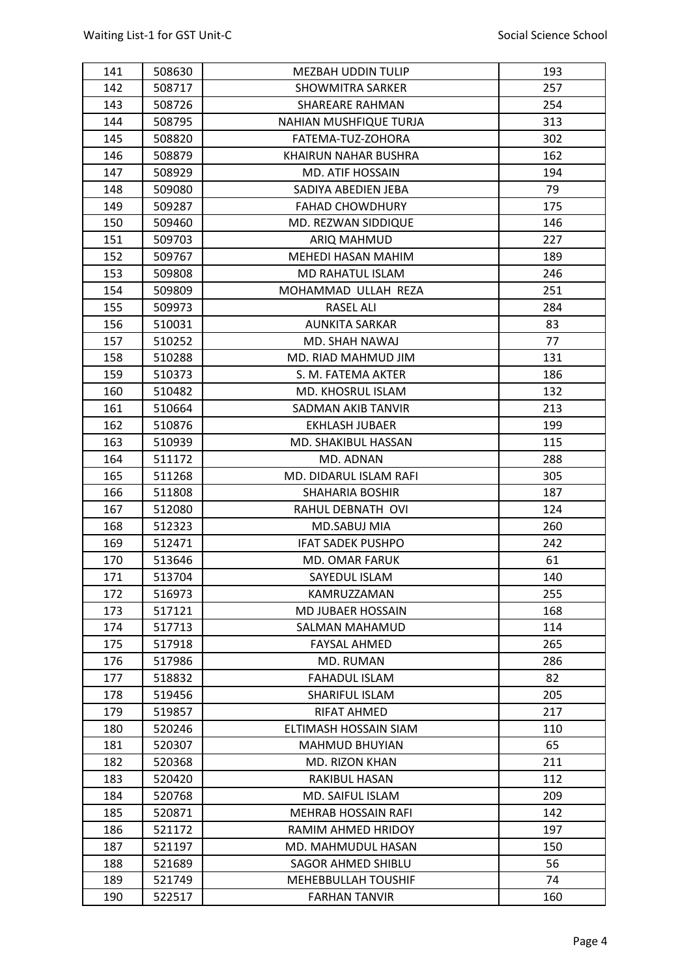| 141 | 508630 | <b>MEZBAH UDDIN TULIP</b>  | 193 |
|-----|--------|----------------------------|-----|
| 142 | 508717 | <b>SHOWMITRA SARKER</b>    | 257 |
| 143 | 508726 | SHAREARE RAHMAN            | 254 |
| 144 | 508795 | NAHIAN MUSHFIQUE TURJA     | 313 |
| 145 | 508820 | FATEMA-TUZ-ZOHORA          | 302 |
| 146 | 508879 | KHAIRUN NAHAR BUSHRA       | 162 |
| 147 | 508929 | MD. ATIF HOSSAIN           | 194 |
| 148 | 509080 | SADIYA ABEDIEN JEBA        | 79  |
| 149 | 509287 | <b>FAHAD CHOWDHURY</b>     | 175 |
| 150 | 509460 | MD. REZWAN SIDDIQUE        | 146 |
| 151 | 509703 | <b>ARIQ MAHMUD</b>         | 227 |
| 152 | 509767 | MEHEDI HASAN MAHIM         | 189 |
| 153 | 509808 | <b>MD RAHATUL ISLAM</b>    | 246 |
| 154 | 509809 | MOHAMMAD ULLAH REZA        | 251 |
| 155 | 509973 | <b>RASEL ALI</b>           | 284 |
| 156 | 510031 | <b>AUNKITA SARKAR</b>      | 83  |
| 157 | 510252 | MD. SHAH NAWAJ             | 77  |
| 158 | 510288 | MD. RIAD MAHMUD JIM        | 131 |
| 159 | 510373 | S. M. FATEMA AKTER         | 186 |
| 160 | 510482 | MD. KHOSRUL ISLAM          | 132 |
| 161 | 510664 | SADMAN AKIB TANVIR         | 213 |
| 162 | 510876 | EKHLASH JUBAER             | 199 |
| 163 | 510939 | MD. SHAKIBUL HASSAN        | 115 |
| 164 | 511172 | MD. ADNAN                  | 288 |
| 165 | 511268 | MD. DIDARUL ISLAM RAFI     | 305 |
| 166 | 511808 | <b>SHAHARIA BOSHIR</b>     | 187 |
| 167 | 512080 | RAHUL DEBNATH OVI          | 124 |
| 168 | 512323 | MD.SABUJ MIA               | 260 |
| 169 | 512471 | <b>IFAT SADEK PUSHPO</b>   | 242 |
| 170 | 513646 | MD. OMAR FARUK             | 61  |
| 171 | 513704 | SAYEDUL ISLAM              | 140 |
| 172 | 516973 | KAMRUZZAMAN                | 255 |
| 173 | 517121 | MD JUBAER HOSSAIN          | 168 |
| 174 | 517713 | SALMAN MAHAMUD             | 114 |
| 175 | 517918 | <b>FAYSAL AHMED</b>        | 265 |
| 176 | 517986 | <b>MD. RUMAN</b>           | 286 |
| 177 | 518832 | <b>FAHADUL ISLAM</b>       | 82  |
| 178 | 519456 | SHARIFUL ISLAM             | 205 |
| 179 | 519857 | RIFAT AHMED                | 217 |
| 180 | 520246 | ELTIMASH HOSSAIN SIAM      | 110 |
| 181 | 520307 | <b>MAHMUD BHUYIAN</b>      | 65  |
| 182 | 520368 | MD. RIZON KHAN             | 211 |
| 183 | 520420 | RAKIBUL HASAN              | 112 |
| 184 | 520768 | MD. SAIFUL ISLAM           | 209 |
| 185 | 520871 | <b>MEHRAB HOSSAIN RAFI</b> | 142 |
| 186 | 521172 | RAMIM AHMED HRIDOY         | 197 |
| 187 | 521197 | MD. MAHMUDUL HASAN         | 150 |
| 188 | 521689 | SAGOR AHMED SHIBLU         | 56  |
| 189 | 521749 | MEHEBBULLAH TOUSHIF        | 74  |
|     | 522517 | <b>FARHAN TANVIR</b>       | 160 |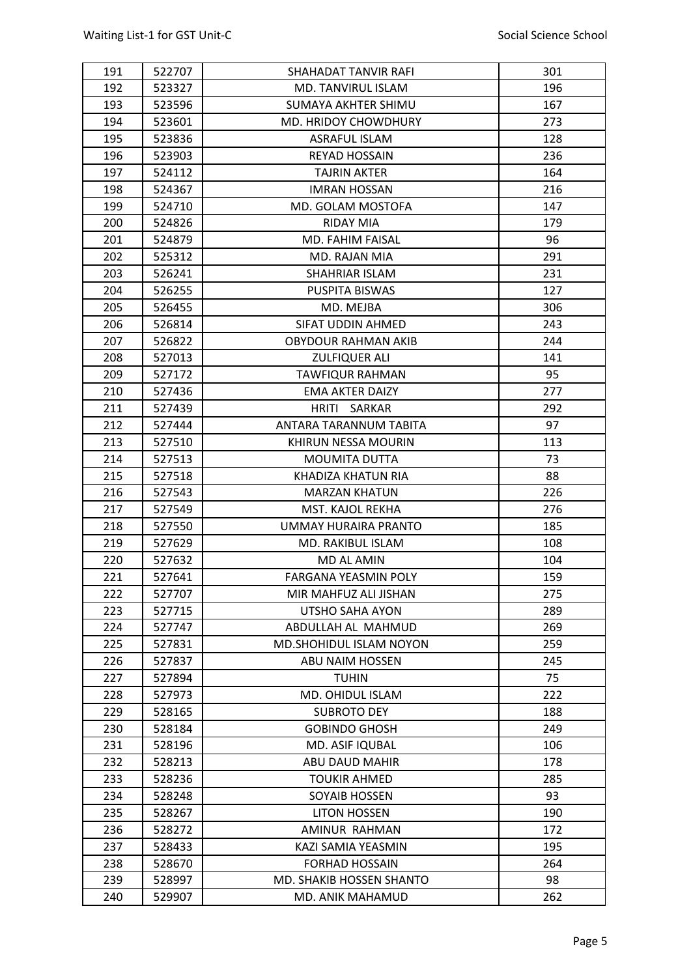| 191 | 522707 | SHAHADAT TANVIR RAFI        | 301 |
|-----|--------|-----------------------------|-----|
| 192 | 523327 | MD. TANVIRUL ISLAM          | 196 |
| 193 | 523596 | <b>SUMAYA AKHTER SHIMU</b>  | 167 |
| 194 | 523601 | MD. HRIDOY CHOWDHURY        | 273 |
| 195 | 523836 | <b>ASRAFUL ISLAM</b>        | 128 |
| 196 | 523903 | <b>REYAD HOSSAIN</b>        | 236 |
| 197 | 524112 | <b>TAJRIN AKTER</b>         | 164 |
| 198 | 524367 | <b>IMRAN HOSSAN</b>         | 216 |
| 199 | 524710 | MD. GOLAM MOSTOFA           | 147 |
| 200 | 524826 | RIDAY MIA                   | 179 |
| 201 | 524879 | MD. FAHIM FAISAL            | 96  |
| 202 | 525312 | MD. RAJAN MIA               | 291 |
| 203 | 526241 | <b>SHAHRIAR ISLAM</b>       | 231 |
| 204 | 526255 | <b>PUSPITA BISWAS</b>       | 127 |
| 205 | 526455 | MD. MEJBA                   | 306 |
| 206 | 526814 | SIFAT UDDIN AHMED           | 243 |
| 207 | 526822 | <b>OBYDOUR RAHMAN AKIB</b>  | 244 |
| 208 | 527013 | <b>ZULFIQUER ALI</b>        | 141 |
| 209 | 527172 | <b>TAWFIQUR RAHMAN</b>      | 95  |
| 210 | 527436 | <b>EMA AKTER DAIZY</b>      | 277 |
| 211 | 527439 | <b>HRITI</b><br>SARKAR      | 292 |
| 212 | 527444 | ANTARA TARANNUM TABITA      | 97  |
| 213 | 527510 | KHIRUN NESSA MOURIN         | 113 |
| 214 | 527513 | <b>MOUMITA DUTTA</b>        | 73  |
| 215 | 527518 | KHADIZA KHATUN RIA          | 88  |
| 216 | 527543 | <b>MARZAN KHATUN</b>        | 226 |
| 217 | 527549 | MST. KAJOL REKHA            | 276 |
| 218 | 527550 | UMMAY HURAIRA PRANTO        | 185 |
| 219 | 527629 | MD. RAKIBUL ISLAM           | 108 |
| 220 | 527632 | <b>MD AL AMIN</b>           | 104 |
| 221 | 527641 | <b>FARGANA YEASMIN POLY</b> | 159 |
| 222 | 527707 | MIR MAHFUZ ALI JISHAN       | 275 |
| 223 | 527715 | UTSHO SAHA AYON             | 289 |
| 224 | 527747 | ABDULLAH AL MAHMUD          | 269 |
| 225 | 527831 | MD.SHOHIDUL ISLAM NOYON     | 259 |
| 226 | 527837 | ABU NAIM HOSSEN             | 245 |
| 227 | 527894 | <b>TUHIN</b>                | 75  |
| 228 | 527973 | MD. OHIDUL ISLAM            | 222 |
| 229 | 528165 | <b>SUBROTO DEY</b>          | 188 |
| 230 | 528184 | <b>GOBINDO GHOSH</b>        | 249 |
| 231 | 528196 | MD. ASIF IQUBAL             | 106 |
| 232 | 528213 | ABU DAUD MAHIR              | 178 |
| 233 | 528236 | <b>TOUKIR AHMED</b>         | 285 |
| 234 | 528248 | <b>SOYAIB HOSSEN</b>        | 93  |
| 235 | 528267 | <b>LITON HOSSEN</b>         | 190 |
| 236 | 528272 | AMINUR RAHMAN               | 172 |
| 237 | 528433 | KAZI SAMIA YEASMIN          | 195 |
| 238 | 528670 | <b>FORHAD HOSSAIN</b>       | 264 |
| 239 | 528997 | MD. SHAKIB HOSSEN SHANTO    | 98  |
| 240 | 529907 | MD. ANIK MAHAMUD            | 262 |